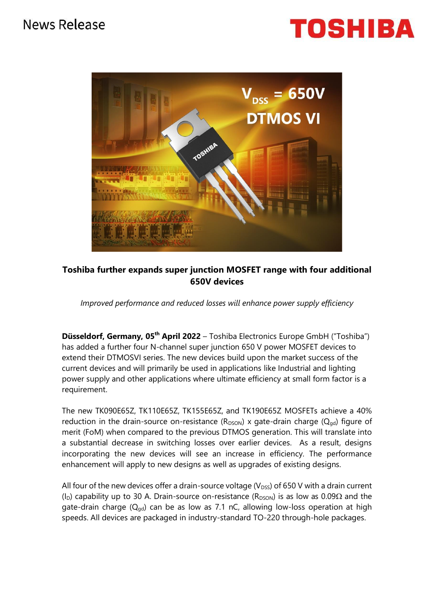## News Release

# TOSHIBA



### **Toshiba further expands super junction MOSFET range with four additional 650V devices**

*Improved performance and reduced losses will enhance power supply efficiency*

**Düsseldorf, Germany, 05th April 2022** – Toshiba Electronics Europe GmbH ("Toshiba") has added a further four N-channel super junction 650 V power MOSFET devices to extend their DTMOSVI series. The new devices build upon the market success of the current devices and will primarily be used in applications like Industrial and lighting power supply and other applications where ultimate efficiency at small form factor is a requirement.

The new TK090E65Z, TK110E65Z, TK155E65Z, and TK190E65Z MOSFETs achieve a 40% reduction in the drain-source on-resistance  $(R_{DSON})$  x gate-drain charge  $(Q_{od})$  figure of merit (FoM) when compared to the previous DTMOS generation. This will translate into a substantial decrease in switching losses over earlier devices. As a result, designs incorporating the new devices will see an increase in efficiency. The performance enhancement will apply to new designs as well as upgrades of existing designs.

All four of the new devices offer a drain-source voltage ( $V_{DSS}$ ) of 650 V with a drain current (I<sub>D</sub>) capability up to 30 A. Drain-source on-resistance (R<sub>DSON</sub>) is as low as 0.09 $\Omega$  and the gate-drain charge  $(Q_{od})$  can be as low as 7.1 nC, allowing low-loss operation at high speeds. All devices are packaged in industry-standard TO-220 through-hole packages.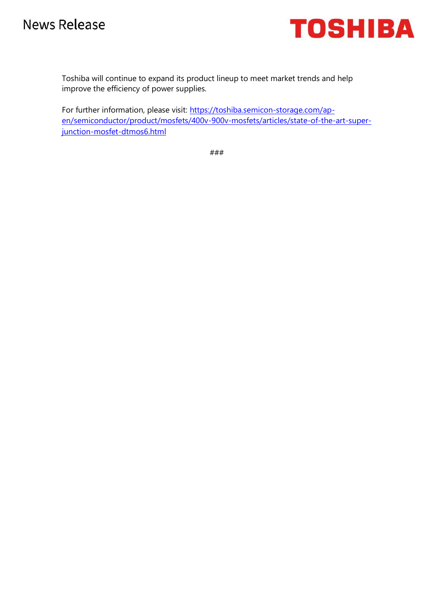

Toshiba will continue to expand its product lineup to meet market trends and help improve the efficiency of power supplies.

For further information, please visit: [https://toshiba.semicon-storage.com/ap](https://toshiba.semicon-storage.com/ap-en/semiconductor/product/mosfets/400v-900v-mosfets/articles/state-of-the-art-super-junction-mosfet-dtmos6.html)[en/semiconductor/product/mosfets/400v-900v-mosfets/articles/state-of-the-art-super](https://toshiba.semicon-storage.com/ap-en/semiconductor/product/mosfets/400v-900v-mosfets/articles/state-of-the-art-super-junction-mosfet-dtmos6.html)[junction-mosfet-dtmos6.html](https://toshiba.semicon-storage.com/ap-en/semiconductor/product/mosfets/400v-900v-mosfets/articles/state-of-the-art-super-junction-mosfet-dtmos6.html)

###